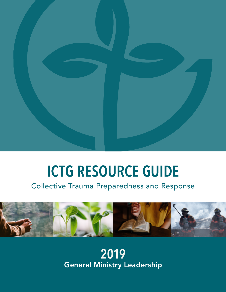

# **ICTG RESOURCE GUIDE**

Collective Trauma Preparedness and Response



**2019** General Ministry Leadership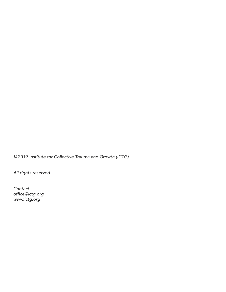*©* 2019 *Institute for Collective Trauma and Growth (ICTG)*

*All rights reserved.* 

*Contact:*  office@ictg.org *www.ictg.org*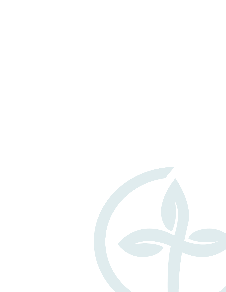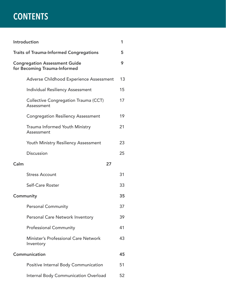## **CONTENTS**

| Introduction                                                         |                                                           | 1  |
|----------------------------------------------------------------------|-----------------------------------------------------------|----|
| <b>Traits of Trauma-Informed Congregations</b>                       |                                                           | 5  |
| <b>Congregation Assessment Guide</b><br>for Becoming Trauma-Informed |                                                           | 9  |
|                                                                      | Adverse Childhood Experience Assessment                   | 13 |
|                                                                      | <b>Individual Resiliency Assessment</b>                   | 15 |
|                                                                      | <b>Collective Congregation Trauma (CCT)</b><br>Assessment | 17 |
|                                                                      | <b>Congregation Resiliency Assessment</b>                 | 19 |
|                                                                      | <b>Trauma Informed Youth Ministry</b><br>Assessment       | 21 |
|                                                                      | <b>Youth Ministry Resiliency Assessment</b>               | 23 |
|                                                                      | <b>Discussion</b>                                         | 25 |
|                                                                      |                                                           |    |
| Calm                                                                 | 27                                                        |    |
|                                                                      | <b>Stress Account</b>                                     | 31 |
|                                                                      | Self-Care Roster                                          | 33 |
|                                                                      | Community                                                 | 35 |
|                                                                      | <b>Personal Community</b>                                 | 37 |
|                                                                      | <b>Personal Care Network Inventory</b>                    | 39 |
|                                                                      | <b>Professional Community</b>                             | 41 |
|                                                                      | Minister's Professional Care Network<br>Inventory         | 43 |
|                                                                      | Communication                                             | 45 |
|                                                                      | Positive Internal Body Communication                      | 51 |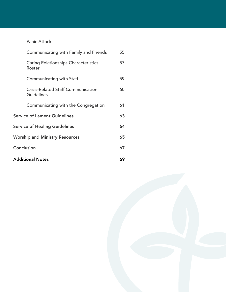### Panic Attacks

| Communicating with Family and Friends                          | 55 |
|----------------------------------------------------------------|----|
| <b>Caring Relationships Characteristics</b><br>Roster          | 57 |
| Communicating with Staff                                       | 59 |
| <b>Crisis-Related Staff Communication</b><br><b>Guidelines</b> | 60 |
| Communicating with the Congregation                            | 61 |
| <b>Service of Lament Guidelines</b>                            |    |
| <b>Service of Healing Guidelines</b>                           |    |
| <b>Worship and Ministry Resources</b>                          |    |
| Conclusion                                                     |    |
| <b>Additional Notes</b>                                        |    |

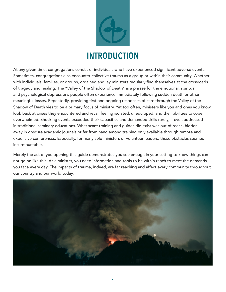

At any given time, congregations consist of individuals who have experienced significant adverse events. Sometimes, congregations also encounter collective trauma as a group or within their community. Whether with individuals, families, or groups, ordained and lay ministers regularly find themselves at the crossroads of tragedy and healing. The "Valley of the Shadow of Death" is a phrase for the emotional, spiritual and psychological depressions people often experience immediately following sudden death or other meaningful losses. Repeatedly, providing first and ongoing responses of care through the Valley of the Shadow of Death vies to be a primary focus of ministry. Yet too often, ministers like you and ones you know look back at crises they encountered and recall feeling isolated, unequipped, and their abilities to cope overwhelmed. Shocking events exceeded their capacities and demanded skills rarely, if ever, addressed in traditional seminary educations. What scant training and guides did exist was out of reach, hidden away in obscure academic journals or far from hand among training only available through remote and expensive conferences. Especially, for many solo ministers or volunteer leaders, these obstacles seemed insurmountable.

Merely the act of you opening this guide demonstrates you see enough in your setting to know things can not go on like this. As a minister, you need information and tools to be within reach to meet the demands you face every day. The impacts of trauma, indeed, are far reaching and affect every community throughout our country and our world today.

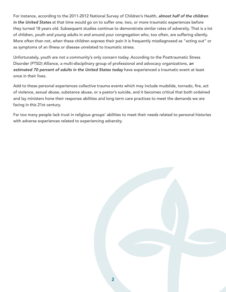For instance, according to the 2011-2012 National Survey of Children's Health, *almost half of the children in the United States* at that time would go on to suffer one, two, or more traumatic experiences before they turned 18 years old. Subsequent studies continue to demonstrate similar rates of adversity. That is a lot of children, youth and young adults in and around your congregation who, too often, are suffering silently. More often than not, when these children express their pain it is frequently misdiagnosed as "acting out" or as symptoms of an illness or disease unrelated to traumatic stress.

Unfortunately, youth are not a community's only concern today. According to the Posttraumatic Stress Disorder (PTSD) Alliance, a multi-disciplinary group of professional and advocacy organizations, *an estimated 70 percent of adults in the United States today* have experienced a traumatic event at least once in their lives.

Add to these personal experiences collective trauma events which may include mudslide, tornado, fire, act of violence, sexual abuse, substance abuse, or a pastor's suicide, and it becomes critical that both ordained and lay ministers hone their response abilities and long term care practices to meet the demands we are facing in this 21st century.

Far too many people lack trust in religious groups' abilities to meet their needs related to personal histories with adverse experiences related to experiencing adversity.

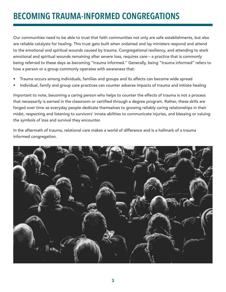## **BECOMING TRAUMA-INFORMED CONGREGATIONS**

Our communities need to be able to trust that faith communities not only are safe establishments, but also are reliable catalysts for healing. This trust gets built when ordained and lay ministers respond and attend to the emotional and spiritual wounds caused by trauma. Congregational resiliency, and attending to stark emotional and spiritual wounds remaining after severe loss, requires *care* – a practice that is commonly being referred to these days as becoming "trauma informed." Generally, being "trauma informed" refers to how a person or a group commonly operates with awareness that:

- Trauma occurs among individuals, families and groups and its affects can become wide spread
- Individual, family and group care practices can counter adverse impacts of trauma and initiate healing

Important to note, becoming a caring person who helps to counter the effects of trauma is not a process that necessarily is earned in the classroom or certified through a degree program. Rather, these skills are forged over time as everyday people dedicate themselves to growing reliably caring relationships in their midst, respecting and listening to survivors' innate abilities to communicate injuries, and blessing or valuing the symbols of loss and survival they encounter.

In the aftermath of trauma, relational care makes a world of difference and is a hallmark of a trauma informed congregation.